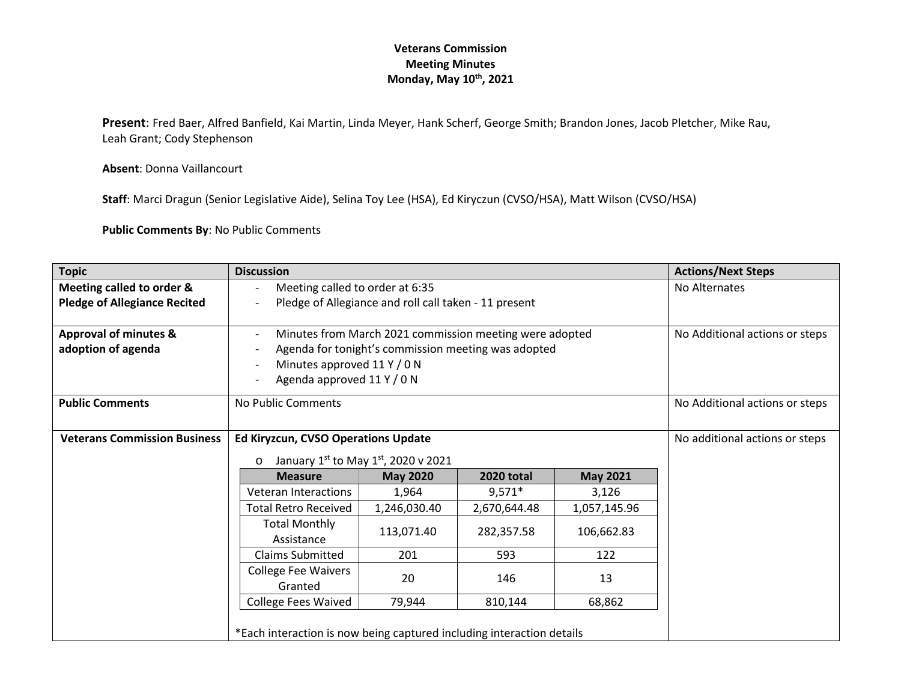**Present**: Fred Baer, Alfred Banfield, Kai Martin, Linda Meyer, Hank Scherf, George Smith; Brandon Jones, Jacob Pletcher, Mike Rau, Leah Grant; Cody Stephenson

**Absent**: Donna Vaillancourt

**Staff**: Marci Dragun (Senior Legislative Aide), Selina Toy Lee (HSA), Ed Kiryczun (CVSO/HSA), Matt Wilson (CVSO/HSA)

**Public Comments By**: No Public Comments

| <b>Topic</b>                                                     | <b>Discussion</b>                                                     |                                                |                   | <b>Actions/Next Steps</b>      |                                |
|------------------------------------------------------------------|-----------------------------------------------------------------------|------------------------------------------------|-------------------|--------------------------------|--------------------------------|
| Meeting called to order &<br><b>Pledge of Allegiance Recited</b> | Meeting called to order at 6:35                                       |                                                |                   | No Alternates                  |                                |
|                                                                  | Pledge of Allegiance and roll call taken - 11 present                 |                                                |                   |                                |                                |
| <b>Approval of minutes &amp;</b>                                 | Minutes from March 2021 commission meeting were adopted               |                                                |                   |                                | No Additional actions or steps |
| adoption of agenda                                               | Agenda for tonight's commission meeting was adopted                   |                                                |                   |                                |                                |
|                                                                  | Minutes approved 11 Y / 0 N                                           |                                                |                   |                                |                                |
|                                                                  | Agenda approved 11 Y / 0 N                                            |                                                |                   |                                |                                |
| <b>Public Comments</b>                                           | No Public Comments                                                    |                                                |                   | No Additional actions or steps |                                |
|                                                                  |                                                                       |                                                |                   |                                |                                |
| <b>Veterans Commission Business</b>                              | <b>Ed Kiryzcun, CVSO Operations Update</b>                            |                                                |                   |                                | No additional actions or steps |
|                                                                  | $\circ$                                                               | January $1^{st}$ to May $1^{st}$ , 2020 v 2021 |                   |                                |                                |
|                                                                  | <b>Measure</b>                                                        | <b>May 2020</b>                                | <b>2020 total</b> | <b>May 2021</b>                |                                |
|                                                                  | <b>Veteran Interactions</b>                                           | 1,964                                          | $9,571*$          | 3,126                          |                                |
|                                                                  | <b>Total Retro Received</b>                                           | 1,246,030.40                                   | 2,670,644.48      | 1,057,145.96                   |                                |
|                                                                  | <b>Total Monthly</b><br>Assistance                                    | 113,071.40                                     | 282,357.58        | 106,662.83                     |                                |
|                                                                  | <b>Claims Submitted</b>                                               | 201                                            | 593               | 122                            |                                |
|                                                                  | <b>College Fee Waivers</b><br>Granted                                 | 20                                             | 146               | 13                             |                                |
|                                                                  | <b>College Fees Waived</b>                                            | 79,944                                         | 810,144           | 68,862                         |                                |
|                                                                  | *Each interaction is now being captured including interaction details |                                                |                   |                                |                                |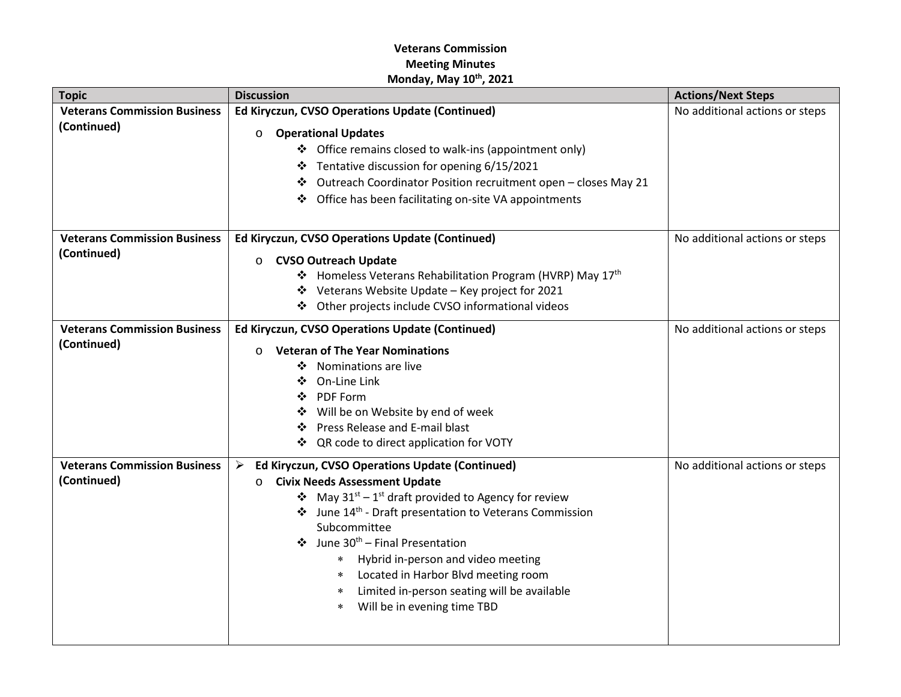| <b>Topic</b>                        | <b>Discussion</b>                                                                   | <b>Actions/Next Steps</b>      |
|-------------------------------------|-------------------------------------------------------------------------------------|--------------------------------|
| <b>Veterans Commission Business</b> | Ed Kiryczun, CVSO Operations Update (Continued)                                     | No additional actions or steps |
| (Continued)                         | <b>Operational Updates</b><br>$\circ$                                               |                                |
|                                     | ❖ Office remains closed to walk-ins (appointment only)                              |                                |
|                                     | ❖ Tentative discussion for opening 6/15/2021                                        |                                |
|                                     | Outreach Coordinator Position recruitment open - closes May 21<br>❖                 |                                |
|                                     | Office has been facilitating on-site VA appointments                                |                                |
|                                     |                                                                                     |                                |
| <b>Veterans Commission Business</b> | Ed Kiryczun, CVSO Operations Update (Continued)                                     | No additional actions or steps |
| (Continued)                         | <b>CVSO Outreach Update</b><br>$\circ$                                              |                                |
|                                     | ❖ Homeless Veterans Rehabilitation Program (HVRP) May 17th                          |                                |
|                                     | ❖ Veterans Website Update - Key project for 2021                                    |                                |
|                                     | ❖ Other projects include CVSO informational videos                                  |                                |
| <b>Veterans Commission Business</b> | Ed Kiryczun, CVSO Operations Update (Continued)                                     | No additional actions or steps |
| (Continued)                         | <b>Veteran of The Year Nominations</b><br>$\Omega$                                  |                                |
|                                     | Nominations are live<br>❖                                                           |                                |
|                                     | On-Line Link<br>❖                                                                   |                                |
|                                     | PDF Form<br>❖                                                                       |                                |
|                                     | Will be on Website by end of week<br>❖                                              |                                |
|                                     | Press Release and E-mail blast<br>❖                                                 |                                |
|                                     | ❖ QR code to direct application for VOTY                                            |                                |
| <b>Veterans Commission Business</b> | Ed Kiryczun, CVSO Operations Update (Continued)<br>➤                                | No additional actions or steps |
| (Continued)                         | <b>Civix Needs Assessment Update</b><br>$\circ$                                     |                                |
|                                     | • May $31^{st} - 1^{st}$ draft provided to Agency for review                        |                                |
|                                     | June 14 <sup>th</sup> - Draft presentation to Veterans Commission                   |                                |
|                                     | Subcommittee<br>June 30 <sup>th</sup> - Final Presentation                          |                                |
|                                     | $\ast$                                                                              |                                |
|                                     | Hybrid in-person and video meeting<br>Located in Harbor Blvd meeting room<br>$\ast$ |                                |
|                                     | Limited in-person seating will be available<br>$\ast$                               |                                |
|                                     | Will be in evening time TBD<br>$\ast$                                               |                                |
|                                     |                                                                                     |                                |
|                                     |                                                                                     |                                |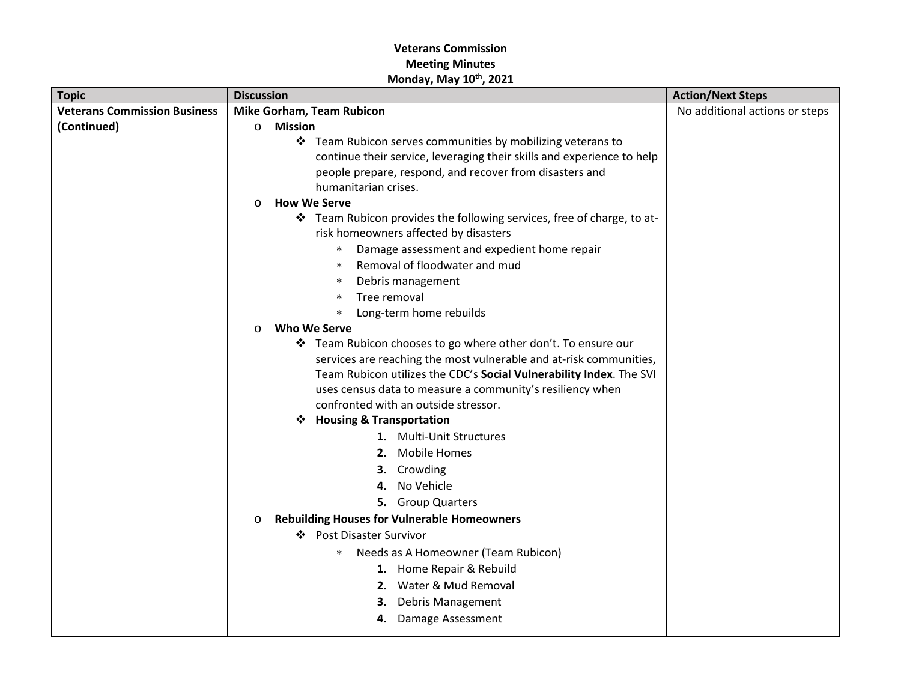| <b>Topic</b>                        | <b>Discussion</b>                                                      | <b>Action/Next Steps</b>       |
|-------------------------------------|------------------------------------------------------------------------|--------------------------------|
| <b>Veterans Commission Business</b> | <b>Mike Gorham, Team Rubicon</b>                                       | No additional actions or steps |
| (Continued)                         | Mission<br>$\circ$                                                     |                                |
|                                     | ❖ Team Rubicon serves communities by mobilizing veterans to            |                                |
|                                     | continue their service, leveraging their skills and experience to help |                                |
|                                     | people prepare, respond, and recover from disasters and                |                                |
|                                     | humanitarian crises.                                                   |                                |
|                                     | <b>How We Serve</b><br>$\circ$                                         |                                |
|                                     | ❖ Team Rubicon provides the following services, free of charge, to at- |                                |
|                                     | risk homeowners affected by disasters                                  |                                |
|                                     | Damage assessment and expedient home repair<br>∗                       |                                |
|                                     | Removal of floodwater and mud<br>$\ast$                                |                                |
|                                     | Debris management<br>*                                                 |                                |
|                                     | Tree removal<br>$\ast$                                                 |                                |
|                                     | Long-term home rebuilds<br>$\ast$                                      |                                |
|                                     | Who We Serve<br>$\circ$                                                |                                |
|                                     | ❖ Team Rubicon chooses to go where other don't. To ensure our          |                                |
|                                     | services are reaching the most vulnerable and at-risk communities,     |                                |
|                                     | Team Rubicon utilizes the CDC's Social Vulnerability Index. The SVI    |                                |
|                                     | uses census data to measure a community's resiliency when              |                                |
|                                     | confronted with an outside stressor.                                   |                                |
|                                     | ❖ Housing & Transportation                                             |                                |
|                                     | 1. Multi-Unit Structures                                               |                                |
|                                     | 2. Mobile Homes                                                        |                                |
|                                     | 3. Crowding                                                            |                                |
|                                     | 4. No Vehicle                                                          |                                |
|                                     | 5. Group Quarters                                                      |                                |
|                                     | <b>Rebuilding Houses for Vulnerable Homeowners</b><br>$\circ$          |                                |
|                                     | ❖ Post Disaster Survivor                                               |                                |
|                                     | Needs as A Homeowner (Team Rubicon)<br>$\ast$                          |                                |
|                                     | 1. Home Repair & Rebuild                                               |                                |
|                                     | 2. Water & Mud Removal                                                 |                                |
|                                     | 3. Debris Management                                                   |                                |
|                                     | 4. Damage Assessment                                                   |                                |
|                                     |                                                                        |                                |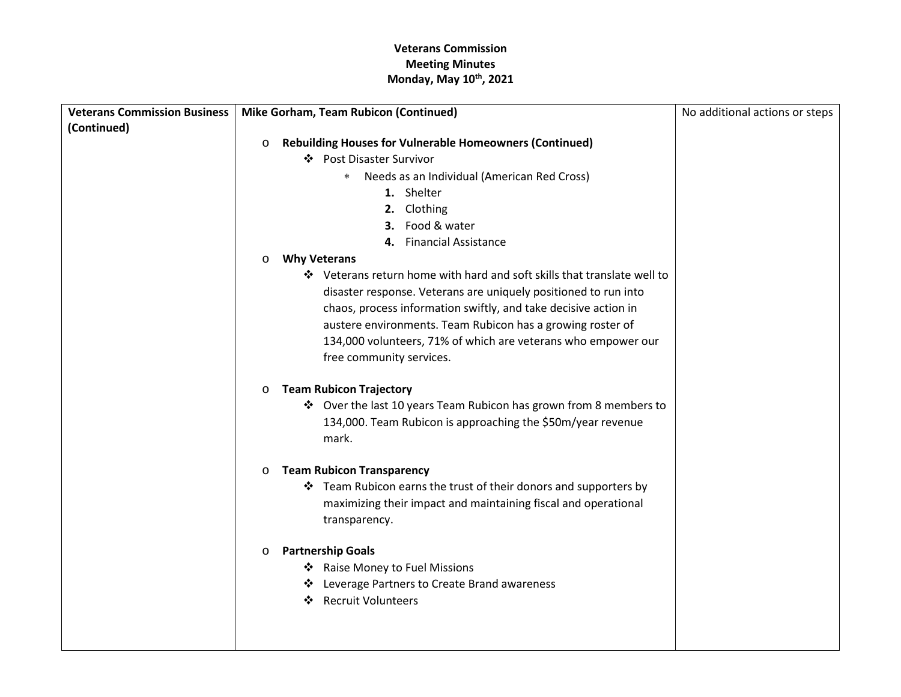| <b>Veterans Commission Business</b> | Mike Gorham, Team Rubicon (Continued)                                           | No additional actions or steps |
|-------------------------------------|---------------------------------------------------------------------------------|--------------------------------|
| (Continued)                         |                                                                                 |                                |
|                                     | <b>Rebuilding Houses for Vulnerable Homeowners (Continued)</b><br>$\circ$       |                                |
|                                     | ❖ Post Disaster Survivor                                                        |                                |
|                                     | Needs as an Individual (American Red Cross)<br>$\ast$                           |                                |
|                                     | 1. Shelter                                                                      |                                |
|                                     | 2. Clothing                                                                     |                                |
|                                     | 3. Food & water                                                                 |                                |
|                                     | 4. Financial Assistance                                                         |                                |
|                                     | <b>Why Veterans</b><br>$\circ$                                                  |                                |
|                                     | ❖ Veterans return home with hard and soft skills that translate well to         |                                |
|                                     | disaster response. Veterans are uniquely positioned to run into                 |                                |
|                                     | chaos, process information swiftly, and take decisive action in                 |                                |
|                                     | austere environments. Team Rubicon has a growing roster of                      |                                |
|                                     | 134,000 volunteers, 71% of which are veterans who empower our                   |                                |
|                                     | free community services.                                                        |                                |
|                                     |                                                                                 |                                |
|                                     | <b>Team Rubicon Trajectory</b><br>$\circ$                                       |                                |
|                                     | ❖ Over the last 10 years Team Rubicon has grown from 8 members to               |                                |
|                                     | 134,000. Team Rubicon is approaching the \$50m/year revenue<br>mark.            |                                |
|                                     |                                                                                 |                                |
|                                     | <b>Team Rubicon Transparency</b><br>$\circ$                                     |                                |
|                                     | ❖ Team Rubicon earns the trust of their donors and supporters by                |                                |
|                                     | maximizing their impact and maintaining fiscal and operational                  |                                |
|                                     | transparency.                                                                   |                                |
|                                     |                                                                                 |                                |
|                                     | <b>Partnership Goals</b><br>$\circ$                                             |                                |
|                                     | ❖ Raise Money to Fuel Missions                                                  |                                |
|                                     | ❖ Leverage Partners to Create Brand awareness<br><b>Recruit Volunteers</b><br>❖ |                                |
|                                     |                                                                                 |                                |
|                                     |                                                                                 |                                |
|                                     |                                                                                 |                                |